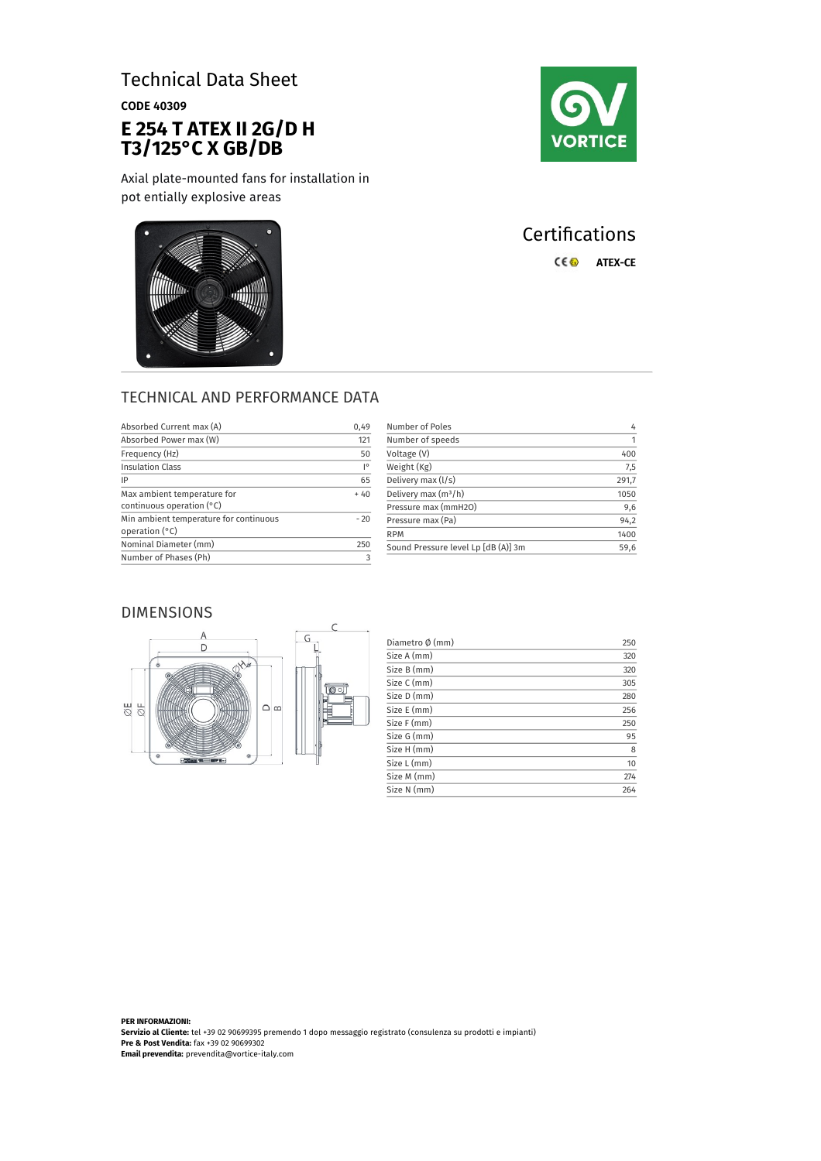# Technical Data Sheet

CODE 40309

## **E 254 T ATEX II 2G/D H T3/125°C X GB/DB**

Axial plate-mounted fans for installation in pot entially explosive areas



# **Certifications** C€<sup>®</sup> ATEX-CE



| Absorbed Current max (A)                                   | 0,49  |
|------------------------------------------------------------|-------|
| Absorbed Power max (W)                                     | 121   |
| Frequency (Hz)                                             | 50    |
| <b>Insulation Class</b>                                    | I۰    |
| IP                                                         | 65    |
| Max ambient temperature for<br>continuous operation $(°C)$ | $+40$ |
| Min ambient temperature for continuous<br>operation (°C)   | $-20$ |
| Nominal Diameter (mm)                                      | 250   |
| Number of Phases (Ph)                                      |       |
|                                                            |       |

| Number of Poles                     | 4     |
|-------------------------------------|-------|
| Number of speeds                    | 1     |
| Voltage (V)                         | 400   |
| Weight (Kg)                         | 7,5   |
| Delivery max (I/s)                  | 291,7 |
| Delivery max $(m^3/h)$              | 1050  |
| Pressure max (mmH2O)                | 9,6   |
| Pressure max (Pa)                   | 94,2  |
| <b>RPM</b>                          | 1400  |
| Sound Pressure level Lp [dB (A)] 3m | 59,6  |

### DIMENSIONS



| Diametro Ø (mm) | 250 |
|-----------------|-----|
| Size A (mm)     | 320 |
| Size B (mm)     | 320 |
| Size C (mm)     | 305 |
| Size D (mm)     | 280 |
| Size E (mm)     | 256 |
| Size F (mm)     | 250 |
| Size G (mm)     | 95  |
| Size H (mm)     | 8   |
| Size L (mm)     | 10  |
| Size M (mm)     | 274 |
| Size N (mm)     | 264 |

**PER INFORMAZIONI: Servizio al Cliente:** tel +39 02 90699395 premendo 1 dopo messaggio registrato (consulenza su prodotti e impianti) **Pre & Post Vendita:** fax +39 02 90699302 **Email prevendita:** prevendita@vortice-italy.com